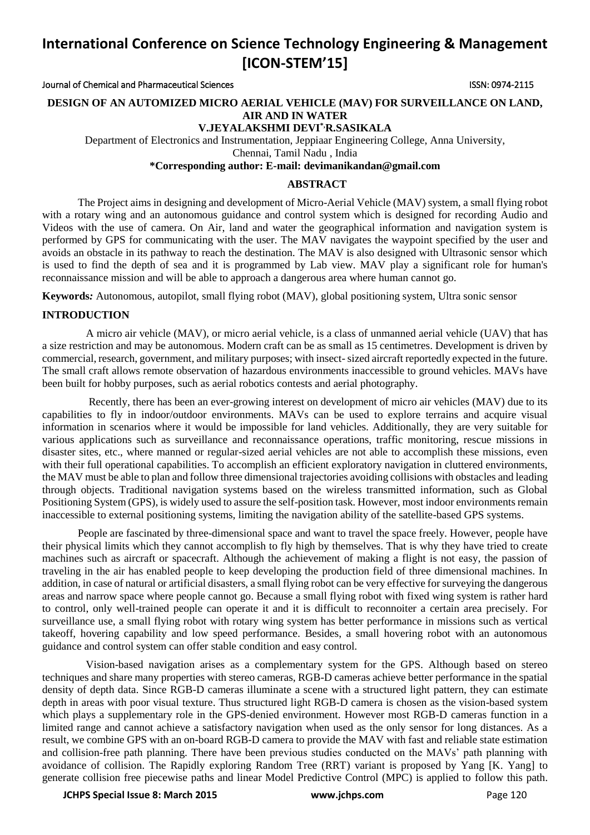### Journal of Chemical and Pharmaceutical Sciences ISSN: 0974-2115

### **DESIGN OF AN AUTOMIZED MICRO AERIAL VEHICLE (MAV) FOR SURVEILLANCE ON LAND, AIR AND IN WATER**

#### **V.JEYALAKSHMI DEVI\*,R.SASIKALA**

Department of Electronics and Instrumentation, Jeppiaar Engineering College, Anna University,

Chennai, Tamil Nadu , India

### **\*Corresponding author: E-mail: [devimanikandan@gmail.com](mailto:devimanikandan@gmail.com)**

#### **ABSTRACT**

The Project aims in designing and development of Micro-Aerial Vehicle (MAV) system, a small flying robot with a rotary wing and an autonomous guidance and control system which is designed for recording Audio and Videos with the use of camera. On Air, land and water the geographical information and navigation system is performed by GPS for communicating with the user. The MAV navigates the waypoint specified by the user and avoids an obstacle in its pathway to reach the destination. The MAV is also designed with Ultrasonic sensor which is used to find the depth of sea and it is programmed by Lab view. MAV play a significant role for human's reconnaissance mission and will be able to approach a dangerous area where human cannot go.

**Keywords***:* Autonomous, autopilot, small flying robot (MAV), global positioning system, Ultra sonic sensor

#### **INTRODUCTION**

 A micro air vehicle (MAV), or micro aerial vehicle, is a class of unmanned aerial vehicle (UAV) that has a size restriction and may be autonomous. Modern craft can be as small as 15 centimetres. Development is driven by commercial, research, government, and military purposes; with insect-sized aircraft reportedly expected in the future. The small craft allows remote observation of hazardous environments inaccessible to ground vehicles. MAVs have been built for hobby purposes, such as aerial robotics contests and aerial photography.

 Recently, there has been an ever-growing interest on development of micro air vehicles (MAV) due to its capabilities to fly in indoor/outdoor environments. MAVs can be used to explore terrains and acquire visual information in scenarios where it would be impossible for land vehicles. Additionally, they are very suitable for various applications such as surveillance and reconnaissance operations, traffic monitoring, rescue missions in disaster sites, etc., where manned or regular-sized aerial vehicles are not able to accomplish these missions, even with their full operational capabilities. To accomplish an efficient exploratory navigation in cluttered environments, the MAV must be able to plan and follow three dimensional trajectories avoiding collisions with obstacles and leading through objects. Traditional navigation systems based on the wireless transmitted information, such as Global Positioning System (GPS), is widely used to assure the self-position task. However, most indoor environments remain inaccessible to external positioning systems, limiting the navigation ability of the satellite-based GPS systems.

 People are fascinated by three-dimensional space and want to travel the space freely. However, people have their physical limits which they cannot accomplish to fly high by themselves. That is why they have tried to create machines such as aircraft or spacecraft. Although the achievement of making a flight is not easy, the passion of traveling in the air has enabled people to keep developing the production field of three dimensional machines. In addition, in case of natural or artificial disasters, a small flying robot can be very effective for surveying the dangerous areas and narrow space where people cannot go. Because a small flying robot with fixed wing system is rather hard to control, only well-trained people can operate it and it is difficult to reconnoiter a certain area precisely. For surveillance use, a small flying robot with rotary wing system has better performance in missions such as vertical takeoff, hovering capability and low speed performance. Besides, a small hovering robot with an autonomous guidance and control system can offer stable condition and easy control.

 Vision-based navigation arises as a complementary system for the GPS. Although based on stereo techniques and share many properties with stereo cameras, RGB-D cameras achieve better performance in the spatial density of depth data. Since RGB-D cameras illuminate a scene with a structured light pattern, they can estimate depth in areas with poor visual texture. Thus structured light RGB-D camera is chosen as the vision-based system which plays a supplementary role in the GPS-denied environment. However most RGB-D cameras function in a limited range and cannot achieve a satisfactory navigation when used as the only sensor for long distances. As a result, we combine GPS with an on-board RGB-D camera to provide the MAV with fast and reliable state estimation and collision-free path planning. There have been previous studies conducted on the MAVs' path planning with avoidance of collision. The Rapidly exploring Random Tree (RRT) variant is proposed by Yang [K. Yang] to generate collision free piecewise paths and linear Model Predictive Control (MPC) is applied to follow this path.

**JCHPS Special Issue 8: March 2015 [www.jchps.com](http://www.jchps.com/)** Page 120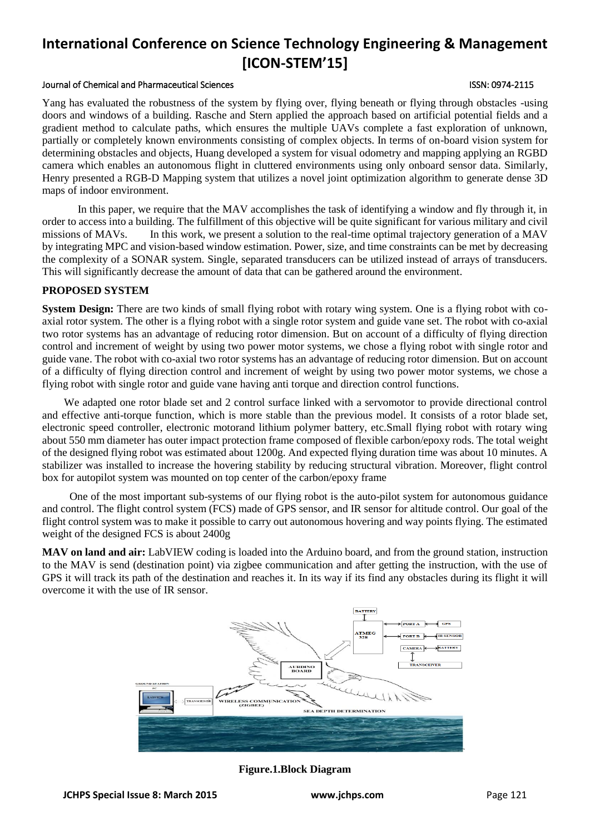### Journal of Chemical and Pharmaceutical Sciences ISSN: 0974-2115

Yang has evaluated the robustness of the system by flying over, flying beneath or flying through obstacles -using doors and windows of a building. Rasche and Stern applied the approach based on artificial potential fields and a gradient method to calculate paths, which ensures the multiple UAVs complete a fast exploration of unknown, partially or completely known environments consisting of complex objects. In terms of on-board vision system for determining obstacles and objects, Huang developed a system for visual odometry and mapping applying an RGBD camera which enables an autonomous flight in cluttered environments using only onboard sensor data. Similarly, Henry presented a RGB-D Mapping system that utilizes a novel joint optimization algorithm to generate dense 3D maps of indoor environment.

 In this paper, we require that the MAV accomplishes the task of identifying a window and fly through it, in order to access into a building. The fulfillment of this objective will be quite significant for various military and civil missions of MAVs. In this work, we present a solution to the real-time optimal trajectory generation of a MAV by integrating MPC and vision-based window estimation. Power, size, and time constraints can be met by decreasing the complexity of a SONAR system. Single, separated transducers can be utilized instead of arrays of transducers. This will significantly decrease the amount of data that can be gathered around the environment.

### **PROPOSED SYSTEM**

**System Design:** There are two kinds of small flying robot with rotary wing system. One is a flying robot with coaxial rotor system. The other is a flying robot with a single rotor system and guide vane set. The robot with co-axial two rotor systems has an advantage of reducing rotor dimension. But on account of a difficulty of flying direction control and increment of weight by using two power motor systems, we chose a flying robot with single rotor and guide vane. The robot with co-axial two rotor systems has an advantage of reducing rotor dimension. But on account of a difficulty of flying direction control and increment of weight by using two power motor systems, we chose a flying robot with single rotor and guide vane having anti torque and direction control functions.

We adapted one rotor blade set and 2 control surface linked with a servomotor to provide directional control and effective anti-torque function, which is more stable than the previous model. It consists of a rotor blade set, electronic speed controller, electronic motorand lithium polymer battery, etc.Small flying robot with rotary wing about 550 mm diameter has outer impact protection frame composed of flexible carbon/epoxy rods. The total weight of the designed flying robot was estimated about 1200g. And expected flying duration time was about 10 minutes. A stabilizer was installed to increase the hovering stability by reducing structural vibration. Moreover, flight control box for autopilot system was mounted on top center of the carbon/epoxy frame

 One of the most important sub-systems of our flying robot is the auto-pilot system for autonomous guidance and control. The flight control system (FCS) made of GPS sensor, and IR sensor for altitude control. Our goal of the flight control system was to make it possible to carry out autonomous hovering and way points flying. The estimated weight of the designed FCS is about 2400g

**MAV on land and air:** LabVIEW coding is loaded into the Arduino board, and from the ground station, instruction to the MAV is send (destination point) via zigbee communication and after getting the instruction, with the use of GPS it will track its path of the destination and reaches it. In its way if its find any obstacles during its flight it will overcome it with the use of IR sensor.



**Figure.1.Block Diagram**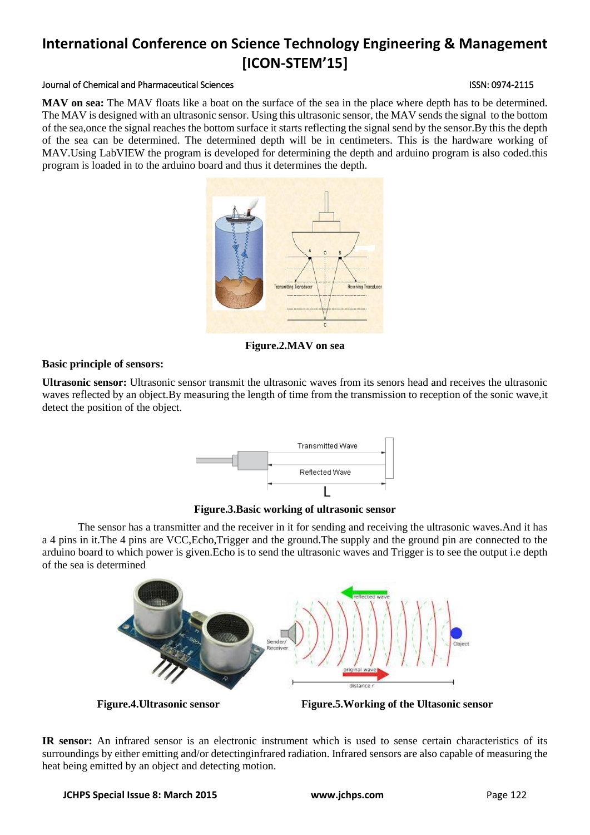### Journal of Chemical and Pharmaceutical Sciences ISSN: 0974-2115

**MAV on sea:** The MAV floats like a boat on the surface of the sea in the place where depth has to be determined. The MAV is designed with an ultrasonic sensor. Using this ultrasonic sensor, the MAV sends the signal to the bottom of the sea,once the signal reaches the bottom surface it starts reflecting the signal send by the sensor.By this the depth of the sea can be determined. The determined depth will be in centimeters. This is the hardware working of MAV.Using LabVIEW the program is developed for determining the depth and arduino program is also coded.this program is loaded in to the arduino board and thus it determines the depth.



**Figure.2.MAV on sea**

### **Basic principle of sensors:**

**Ultrasonic sensor:** Ultrasonic sensor transmit the ultrasonic waves from its senors head and receives the ultrasonic waves reflected by an object.By measuring the length of time from the transmission to reception of the sonic wave,it detect the position of the object.



**Figure.3.Basic working of ultrasonic sensor**

The sensor has a transmitter and the receiver in it for sending and receiving the ultrasonic waves.And it has a 4 pins in it.The 4 pins are VCC,Echo,Trigger and the ground.The supply and the ground pin are connected to the arduino board to which power is given.Echo is to send the ultrasonic waves and Trigger is to see the output i.e depth of the sea is determined



**Figure.4.Ultrasonic sensor Figure.5.Working of the Ultasonic sensor**

**IR sensor:** An infrared sensor is an electronic instrument which is used to sense certain characteristics of its surroundings by either emitting and/or detectinginfrared radiation. Infrared sensors are also capable of measuring the heat being emitted by an object and detecting motion.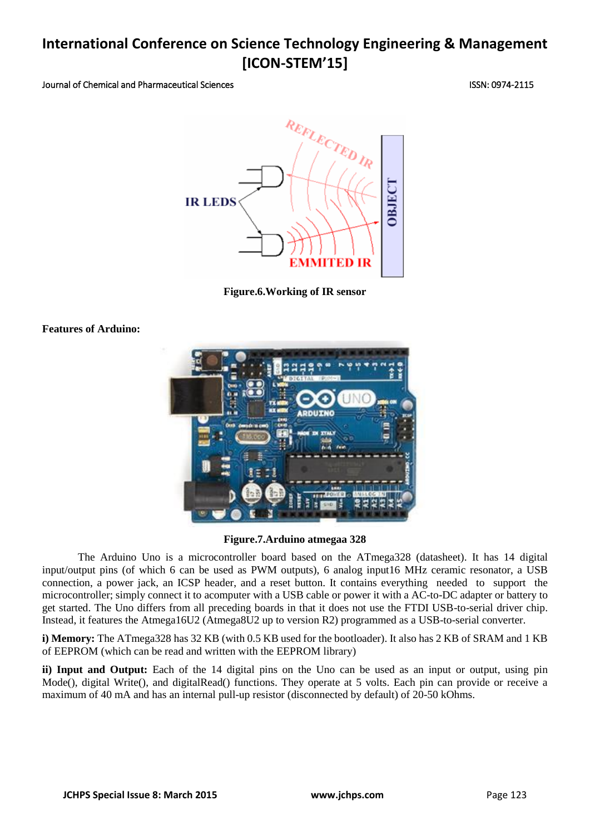Journal of Chemical and Pharmaceutical Sciences ISSN: 0974-2115



**Figure.6.Working of IR sensor**

### **Features of Arduino:**



### **Figure.7.Arduino atmegaa 328**

The Arduino Uno is a microcontroller board based on the ATmega328 [\(datasheet\)](http://www.atmel.com/dyn/resources/prod_documents/doc8161.pdf). It has 14 digital input/output pins (of which 6 can be used as PWM outputs), 6 analog input16 MHz ceramic resonator, a USB connection, a power jack, an ICSP header, and a reset button. It contains everything [needed](http://www.arduino.cc/en/Main/arduinoBoardUno) to [support](http://www.arduino.cc/en/Main/arduinoBoardUno) the microcontroller; simply connect it to [acomputer](http://www.arduino.cc/en/Main/arduinoBoardUno) with a USB cable or power it with a AC-to-DC adapter or battery to get started. The Uno differs from all preceding boards in that it does not use the FTDI USB-to-serial driver chip. Instead, it features the Atmega16U2 (Atmega8U2 up to version R2) programmed as a USB-to-serial converter.

**i) Memory:** The ATmega328 has 32 KB (with 0.5 KB used for the bootloader). It also has 2 KB of SRAM and 1 KB of EEPROM (which can be read and written with the [EEPROM library\)](http://www.arduino.cc/en/Reference/EEPROM)

**ii) Input and Output:** Each of the 14 digital pins on the Uno can be used as an input or output, using pin [Mode\(\),](http://arduino.cc/en/Reference/PinMode) [digital Write\(\),](http://arduino.cc/en/Reference/DigitalWrite) and [digitalRead\(\)](http://arduino.cc/en/Reference/DigitalRead) functions. They operate at 5 volts. Each pin can provide or receive a maximum of 40 mA and has an internal pull-up resistor (disconnected by default) of 20-50 kOhms.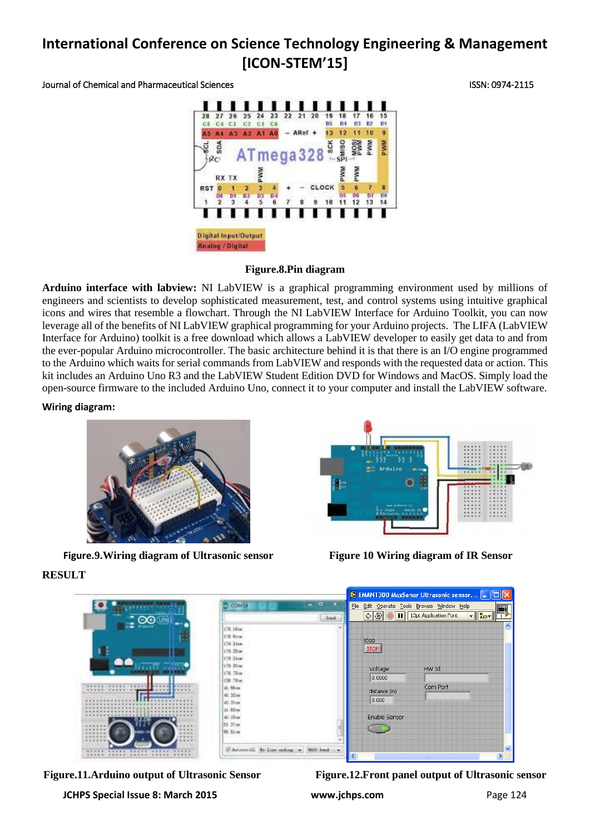Journal of Chemical and Pharmaceutical Sciences ISSN: 0974-2115



### **Figure.8.Pin diagram**

**Arduino interface with labview:** NI LabVIEW is a graphical programming environment used by millions of engineers and scientists to develop sophisticated measurement, test, and control systems using intuitive graphical icons and wires that resemble a flowchart. Through the NI LabVIEW Interface for Arduino Toolkit, you can now leverage all of the benefits of NI LabVIEW graphical programming for your Arduino projects. The LIFA (LabVIEW Interface for Arduino) toolkit is a free download which allows a LabVIEW developer to easily get data to and from the ever-popular Arduino microcontroller. The basic architecture behind it is that there is an I/O engine programmed to the Arduino which waits for serial commands from LabVIEW and responds with the requested data or action. This kit includes an Arduino Uno R3 and the LabVIEW Student Edition DVD for Windows and MacOS. Simply load the open-source firmware to the included Arduino Uno, connect it to your computer and install the LabVIEW software.

### **Wiring diagram:**



**Figure.9.Wiring diagram of Ultrasonic sensor Figure 10 Wiring diagram of IR Sensor**



### **RESULT**

|   |                                       |                                                       | <b>EMANT300 MaxSonar Ultrasonic sensor</b> $\Box$ $\Box$ $\times$ |                       |                         |  |
|---|---------------------------------------|-------------------------------------------------------|-------------------------------------------------------------------|-----------------------|-------------------------|--|
|   | COM13                                 | ×.<br>٠<br>File Edit Operate Tools Browse Window Help |                                                                   |                       | F                       |  |
| ൈ |                                       | Saak.                                                 | $\rightarrow$ $\circledcirc$                                      | 13pt Application Font | $\sqrt{\frac{1}{2}}$    |  |
|   | 178.18es                              |                                                       |                                                                   |                       | $\blacktriangle$        |  |
|   | 178 Rive                              |                                                       | stop                                                              |                       |                         |  |
|   | 179.24m<br>179 25cm                   |                                                       | STOP                                                              |                       |                         |  |
|   | 179.24m                               |                                                       |                                                                   |                       |                         |  |
|   | 3:79 20am<br>176.75cm                 |                                                       | Voltage                                                           | HW Id                 |                         |  |
|   | 138 79m                               |                                                       | 0.0000                                                            |                       |                         |  |
|   | \$1.96cm                              |                                                       | distance (in)                                                     | Com Port              |                         |  |
|   | 40.32se<br>40.31 cm                   |                                                       | 0.000                                                             |                       |                         |  |
|   | U. 32m                                |                                                       |                                                                   |                       |                         |  |
|   | 40.25 pm                              |                                                       | Enable Sensor                                                     |                       |                         |  |
|   | 51.37m<br>M. 51-re                    |                                                       |                                                                   |                       |                         |  |
|   |                                       |                                                       |                                                                   |                       |                         |  |
|   | Photomoli Brizan sading = 9000 hand = |                                                       |                                                                   |                       | $\checkmark$            |  |
|   |                                       |                                                       |                                                                   | ШL                    | $\blacktriangleright$ : |  |

**JCHPS Special Issue 8: March 2015 [www.jchps.com](http://www.jchps.com/)** Page 124

**Figure.11.Arduino output of Ultrasonic Sensor Figure.12.Front panel output of Ultrasonic sensor**